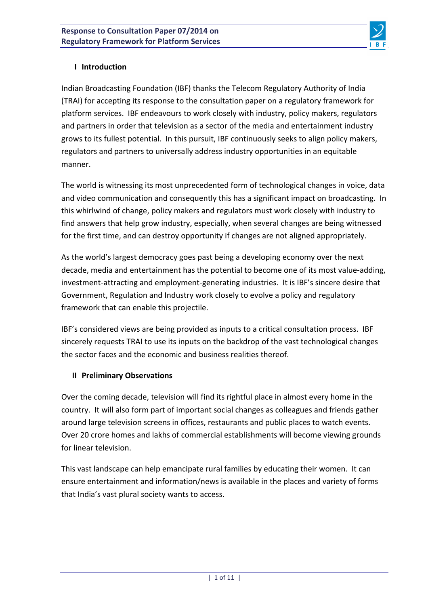

## **I Introduction**

Indian Broadcasting Foundation (IBF) thanks the Telecom Regulatory Authority of India (TRAI) for accepting its response to the consultation paper on a regulatory framework for platform services. IBF endeavours to work closely with industry, policy makers, regulators and partners in order that television as a sector of the media and entertainment industry grows to its fullest potential. In this pursuit, IBF continuously seeks to align policy makers, regulators and partners to universally address industry opportunities in an equitable manner.

The world is witnessing its most unprecedented form of technological changes in voice, data and video communication and consequently this has a significant impact on broadcasting. In this whirlwind of change, policy makers and regulators must work closely with industry to find answers that help grow industry, especially, when several changes are being witnessed for the first time, and can destroy opportunity if changes are not aligned appropriately.

As the world's largest democracy goes past being a developing economy over the next decade, media and entertainment has the potential to become one of its most value-adding, investment-attracting and employment-generating industries. It is IBF's sincere desire that Government, Regulation and Industry work closely to evolve a policy and regulatory framework that can enable this projectile.

IBF's considered views are being provided as inputs to a critical consultation process. IBF sincerely requests TRAI to use its inputs on the backdrop of the vast technological changes the sector faces and the economic and business realities thereof.

## **II Preliminary Observations**

Over the coming decade, television will find its rightful place in almost every home in the country. It will also form part of important social changes as colleagues and friends gather around large television screens in offices, restaurants and public places to watch events. Over 20 crore homes and lakhs of commercial establishments will become viewing grounds for linear television.

This vast landscape can help emancipate rural families by educating their women. It can ensure entertainment and information/news is available in the places and variety of forms that India's vast plural society wants to access.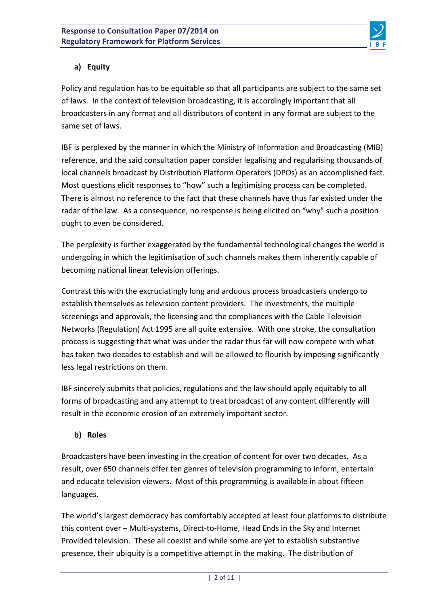

## **a) Equity**

Policy and regulation has to be equitable so that all participants are subject to the same set of laws. In the context of television broadcasting, it is accordingly important that all broadcasters in any format and all distributors of content in any format are subject to the same set of laws.

IBF is perplexed by the manner in which the Ministry of Information and Broadcasting (MIB) reference, and the said consultation paper consider legalising and regularising thousands of local channels broadcast by Distribution Platform Operators (DPOs) as an accomplished fact. Most questions elicit responses to "how" such a legitimising process can be completed. There is almost no reference to the fact that these channels have thus far existed under the radar of the law. As a consequence, no response is being elicited on "why" such a position ought to even be considered.

The perplexity is further exaggerated by the fundamental technological changes the world is undergoing in which the legitimisation of such channels makes them inherently capable of becoming national linear television offerings.

Contrast this with the excruciatingly long and arduous process broadcasters undergo to establish themselves as television content providers. The investments, the multiple screenings and approvals, the licensing and the compliances with the Cable Television Networks (Regulation) Act 1995 are all quite extensive. With one stroke, the consultation process is suggesting that what was under the radar thus far will now compete with what has taken two decades to establish and will be allowed to flourish by imposing significantly less legal restrictions on them.

IBF sincerely submits that policies, regulations and the law should apply equitably to all forms of broadcasting and any attempt to treat broadcast of any content differently will result in the economic erosion of an extremely important sector.

## **b) Roles**

Broadcasters have been investing in the creation of content for over two decades. As a result, over 650 channels offer ten genres of television programming to inform, entertain and educate television viewers. Most of this programming is available in about fifteen languages.

The world's largest democracy has comfortably accepted at least four platforms to distribute this content over – Multi-systems, Direct-to-Home, Head Ends in the Sky and Internet Provided television. These all coexist and while some are yet to establish substantive presence, their ubiquity is a competitive attempt in the making. The distribution of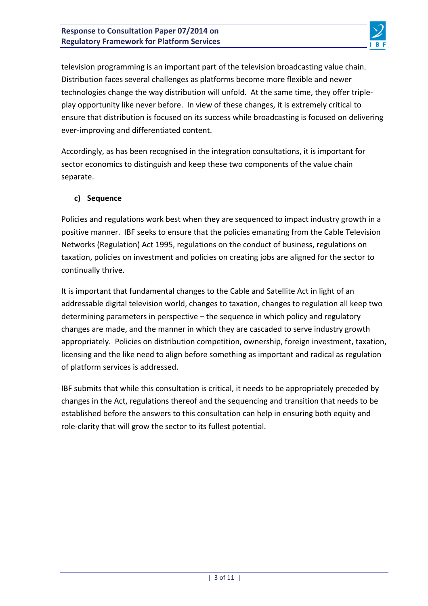

television programming is an important part of the television broadcasting value chain. Distribution faces several challenges as platforms become more flexible and newer technologies change the way distribution will unfold. At the same time, they offer tripleplay opportunity like never before. In view of these changes, it is extremely critical to ensure that distribution is focused on its success while broadcasting is focused on delivering ever-improving and differentiated content.

Accordingly, as has been recognised in the integration consultations, it is important for sector economics to distinguish and keep these two components of the value chain separate.

## **c) Sequence**

Policies and regulations work best when they are sequenced to impact industry growth in a positive manner. IBF seeks to ensure that the policies emanating from the Cable Television Networks (Regulation) Act 1995, regulations on the conduct of business, regulations on taxation, policies on investment and policies on creating jobs are aligned for the sector to continually thrive.

It is important that fundamental changes to the Cable and Satellite Act in light of an addressable digital television world, changes to taxation, changes to regulation all keep two determining parameters in perspective  $-$  the sequence in which policy and regulatory changes are made, and the manner in which they are cascaded to serve industry growth appropriately. Policies on distribution competition, ownership, foreign investment, taxation, licensing and the like need to align before something as important and radical as regulation of platform services is addressed.

IBF submits that while this consultation is critical, it needs to be appropriately preceded by changes in the Act, regulations thereof and the sequencing and transition that needs to be established before the answers to this consultation can help in ensuring both equity and role-clarity that will grow the sector to its fullest potential.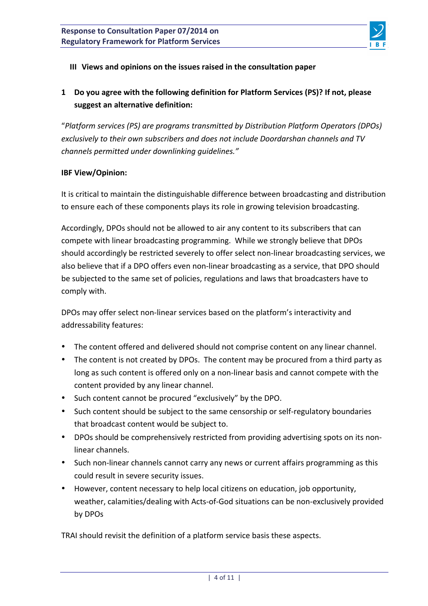

### **III** Views and opinions on the issues raised in the consultation paper

## **1 Do** you agree with the following definition for Platform Services (PS)? If not, please suggest an alternative definition:

"Platform services (PS) are programs transmitted by Distribution Platform Operators (DPOs) exclusively to their own subscribers and does not include Doordarshan channels and TV *channels permitted under downlinking guidelines."*

### **IBF View/Opinion:**

It is critical to maintain the distinguishable difference between broadcasting and distribution to ensure each of these components plays its role in growing television broadcasting.

Accordingly, DPOs should not be allowed to air any content to its subscribers that can compete with linear broadcasting programming. While we strongly believe that DPOs should accordingly be restricted severely to offer select non-linear broadcasting services, we also believe that if a DPO offers even non-linear broadcasting as a service, that DPO should be subjected to the same set of policies, regulations and laws that broadcasters have to comply with.

DPOs may offer select non-linear services based on the platform's interactivity and addressability features:

- The content offered and delivered should not comprise content on any linear channel.
- The content is not created by DPOs. The content may be procured from a third party as long as such content is offered only on a non-linear basis and cannot compete with the content provided by any linear channel.
- Such content cannot be procured "exclusively" by the DPO.
- Such content should be subject to the same censorship or self-regulatory boundaries that broadcast content would be subject to.
- DPOs should be comprehensively restricted from providing advertising spots on its nonlinear channels.
- Such non-linear channels cannot carry any news or current affairs programming as this could result in severe security issues.
- However, content necessary to help local citizens on education, job opportunity, weather, calamities/dealing with Acts-of-God situations can be non-exclusively provided by DPOs

TRAI should revisit the definition of a platform service basis these aspects.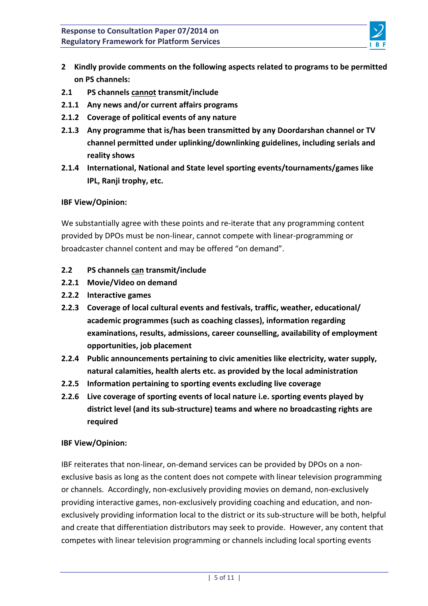

- 2 Kindly provide comments on the following aspects related to programs to be permitted **on PS channels:**
- **2.1 PS channels cannot transmit/include**
- **2.1.1** Any news and/or current affairs programs
- **2.1.2 Coverage of political events of any nature**
- **2.1.3** Any programme that is/has been transmitted by any Doordarshan channel or TV channel permitted under uplinking/downlinking guidelines, including serials and **reality shows**
- **2.1.4** International, National and State level sporting events/tournaments/games like **IPL, Ranji trophy, etc.**

### **IBF View/Opinion:**

We substantially agree with these points and re-iterate that any programming content provided by DPOs must be non-linear, cannot compete with linear-programming or broadcaster channel content and may be offered "on demand".

- **2.2 PS channels can transmit/include**
- **2.2.1 Movie/Video on demand**
- **2.2.2 Interactive games**
- **2.2.3** Coverage of local cultural events and festivals, traffic, weather, educational/ academic programmes (such as coaching classes), information regarding examinations, results, admissions, career counselling, availability of employment **opportunities, job placement**
- **2.2.4** Public announcements pertaining to civic amenities like electricity, water supply, **natural calamities, health alerts etc. as provided by the local administration**
- **2.2.5** Information pertaining to sporting events excluding live coverage
- **2.2.6** Live coverage of sporting events of local nature i.e. sporting events played by district level (and its sub-structure) teams and where no broadcasting rights are **required**

### **IBF View/Opinion:**

IBF reiterates that non-linear, on-demand services can be provided by DPOs on a nonexclusive basis as long as the content does not compete with linear television programming or channels. Accordingly, non-exclusively providing movies on demand, non-exclusively providing interactive games, non-exclusively providing coaching and education, and nonexclusively providing information local to the district or its sub-structure will be both, helpful and create that differentiation distributors may seek to provide. However, any content that competes with linear television programming or channels including local sporting events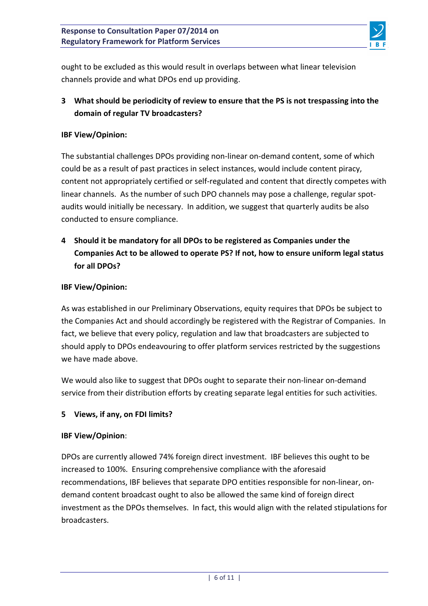

ought to be excluded as this would result in overlaps between what linear television channels provide and what DPOs end up providing.

## **3** What should be periodicity of review to ensure that the PS is not trespassing into the domain of regular TV broadcasters?

### **IBF View/Opinion:**

The substantial challenges DPOs providing non-linear on-demand content, some of which could be as a result of past practices in select instances, would include content piracy, content not appropriately certified or self-regulated and content that directly competes with linear channels. As the number of such DPO channels may pose a challenge, regular spotaudits would initially be necessary. In addition, we suggest that quarterly audits be also conducted to ensure compliance.

4 Should it be mandatory for all DPOs to be registered as Companies under the Companies Act to be allowed to operate PS? If not, how to ensure uniform legal status for all DPOs?

### **IBF View/Opinion:**

As was established in our Preliminary Observations, equity requires that DPOs be subject to the Companies Act and should accordingly be registered with the Registrar of Companies. In fact, we believe that every policy, regulation and law that broadcasters are subjected to should apply to DPOs endeavouring to offer platform services restricted by the suggestions we have made above.

We would also like to suggest that DPOs ought to separate their non-linear on-demand service from their distribution efforts by creating separate legal entities for such activities.

### **5 Views, if any, on FDI limits?**

#### **IBF View/Opinion**:

DPOs are currently allowed 74% foreign direct investment. IBF believes this ought to be increased to 100%. Ensuring comprehensive compliance with the aforesaid recommendations, IBF believes that separate DPO entities responsible for non-linear, ondemand content broadcast ought to also be allowed the same kind of foreign direct investment as the DPOs themselves. In fact, this would align with the related stipulations for broadcasters.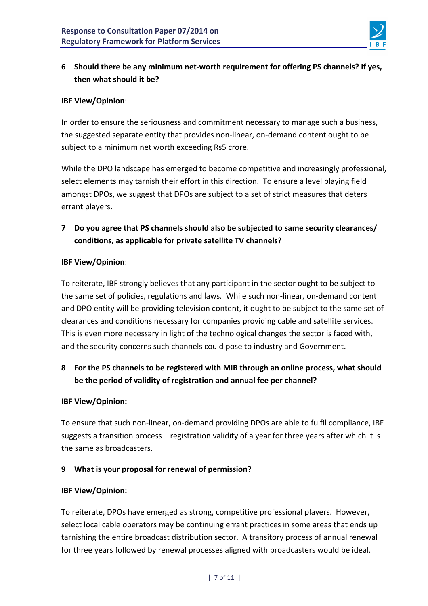

## **6** Should there be any minimum net-worth requirement for offering PS channels? If yes, **then what should it be?**

### **IBF View/Opinion**:

In order to ensure the seriousness and commitment necessary to manage such a business, the suggested separate entity that provides non-linear, on-demand content ought to be subject to a minimum net worth exceeding Rs5 crore.

While the DPO landscape has emerged to become competitive and increasingly professional, select elements may tarnish their effort in this direction. To ensure a level playing field amongst DPOs, we suggest that DPOs are subject to a set of strict measures that deters errant players.

## **7** Do you agree that PS channels should also be subjected to same security clearances/ conditions, as applicable for private satellite TV channels?

### **IBF View/Opinion**:

To reiterate, IBF strongly believes that any participant in the sector ought to be subject to the same set of policies, regulations and laws. While such non-linear, on-demand content and DPO entity will be providing television content, it ought to be subject to the same set of clearances and conditions necessary for companies providing cable and satellite services. This is even more necessary in light of the technological changes the sector is faced with, and the security concerns such channels could pose to industry and Government.

## **8** For the PS channels to be registered with MIB through an online process, what should be the period of validity of registration and annual fee per channel?

### **IBF View/Opinion:**

To ensure that such non-linear, on-demand providing DPOs are able to fulfil compliance, IBF suggests a transition process – registration validity of a year for three years after which it is the same as broadcasters.

## **9 What is your proposal for renewal of permission?**

### **IBF View/Opinion:**

To reiterate, DPOs have emerged as strong, competitive professional players. However, select local cable operators may be continuing errant practices in some areas that ends up tarnishing the entire broadcast distribution sector. A transitory process of annual renewal for three years followed by renewal processes aligned with broadcasters would be ideal.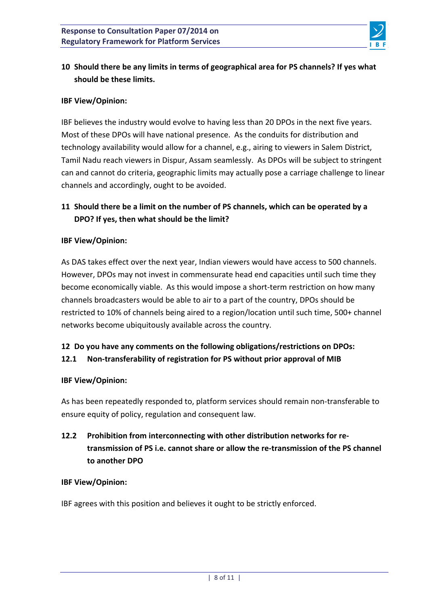

## 10 Should there be any limits in terms of geographical area for PS channels? If yes what **should be these limits.**

### **IBF View/Opinion:**

IBF believes the industry would evolve to having less than 20 DPOs in the next five years. Most of these DPOs will have national presence. As the conduits for distribution and technology availability would allow for a channel, e.g., airing to viewers in Salem District, Tamil Nadu reach viewers in Dispur, Assam seamlessly. As DPOs will be subject to stringent can and cannot do criteria, geographic limits may actually pose a carriage challenge to linear channels and accordingly, ought to be avoided.

## 11 Should there be a limit on the number of PS channels, which can be operated by a **DPO?** If yes, then what should be the limit?

### **IBF View/Opinion:**

As DAS takes effect over the next year, Indian viewers would have access to 500 channels. However, DPOs may not invest in commensurate head end capacities until such time they become economically viable. As this would impose a short-term restriction on how many channels broadcasters would be able to air to a part of the country, DPOs should be restricted to 10% of channels being aired to a region/location until such time, 500+ channel networks become ubiquitously available across the country.

## 12 Do you have any comments on the following obligations/restrictions on DPOs: **12.1** Non-transferability of registration for PS without prior approval of MIB

### **IBF View/Opinion:**

As has been repeatedly responded to, platform services should remain non-transferable to ensure equity of policy, regulation and consequent law.

# **12.2** Prohibition from interconnecting with other distribution networks for retransmission of PS i.e. cannot share or allow the re-transmission of the PS channel **to another DPO**

### **IBF View/Opinion:**

IBF agrees with this position and believes it ought to be strictly enforced.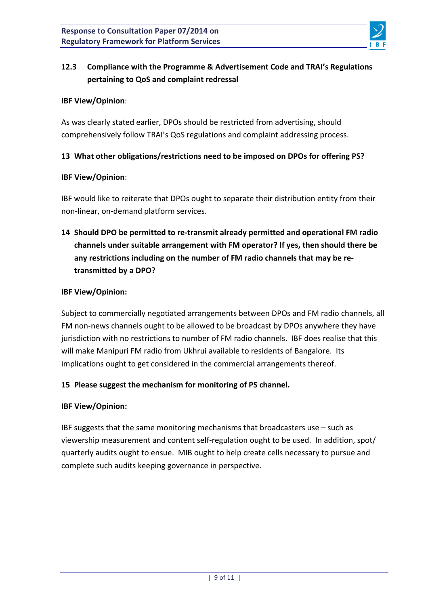

# **12.3** Compliance with the Programme & Advertisement Code and TRAI's Regulations pertaining to QoS and complaint redressal

### **IBF View/Opinion**:

As was clearly stated earlier, DPOs should be restricted from advertising, should comprehensively follow TRAI's QoS regulations and complaint addressing process.

### 13 What other obligations/restrictions need to be imposed on DPOs for offering PS?

### **IBF View/Opinion**:

IBF would like to reiterate that DPOs ought to separate their distribution entity from their non-linear, on-demand platform services.

14 Should DPO be permitted to re-transmit already permitted and operational FM radio channels under suitable arrangement with FM operator? If yes, then should there be any restrictions including on the number of FM radio channels that may be re**transmitted by a DPO?**

### **IBF View/Opinion:**

Subject to commercially negotiated arrangements between DPOs and FM radio channels, all FM non-news channels ought to be allowed to be broadcast by DPOs anywhere they have jurisdiction with no restrictions to number of FM radio channels. IBF does realise that this will make Manipuri FM radio from Ukhrui available to residents of Bangalore. Its implications ought to get considered in the commercial arrangements thereof.

## 15 Please suggest the mechanism for monitoring of PS channel.

## **IBF View/Opinion:**

IBF suggests that the same monitoring mechanisms that broadcasters use  $-$  such as viewership measurement and content self-regulation ought to be used. In addition, spot/ quarterly audits ought to ensue. MIB ought to help create cells necessary to pursue and complete such audits keeping governance in perspective.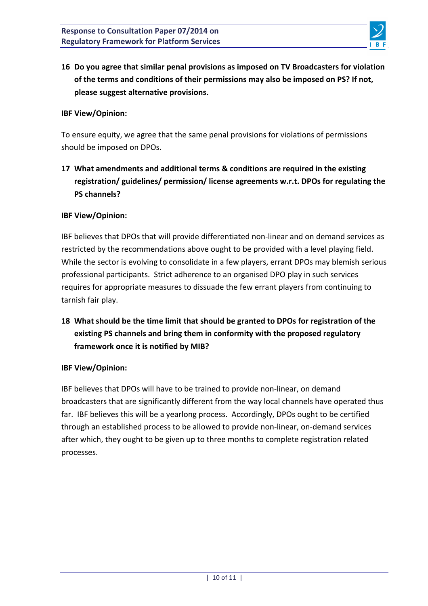

16 Do you agree that similar penal provisions as imposed on TV Broadcasters for violation of the terms and conditions of their permissions may also be imposed on PS? If not, please suggest alternative provisions.

### **IBF View/Opinion:**

To ensure equity, we agree that the same penal provisions for violations of permissions should be imposed on DPOs.

17 What amendments and additional terms & conditions are required in the existing registration/ guidelines/ permission/ license agreements w.r.t. DPOs for regulating the **PS channels?**

### **IBF View/Opinion:**

IBF believes that DPOs that will provide differentiated non-linear and on demand services as restricted by the recommendations above ought to be provided with a level playing field. While the sector is evolving to consolidate in a few players, errant DPOs may blemish serious professional participants. Strict adherence to an organised DPO play in such services requires for appropriate measures to dissuade the few errant players from continuing to tarnish fair play.

**18** What should be the time limit that should be granted to DPOs for registration of the existing PS channels and bring them in conformity with the proposed regulatory **framework once it is notified by MIB?** 

### **IBF View/Opinion:**

IBF believes that DPOs will have to be trained to provide non-linear, on demand broadcasters that are significantly different from the way local channels have operated thus far. IBF believes this will be a yearlong process. Accordingly, DPOs ought to be certified through an established process to be allowed to provide non-linear, on-demand services after which, they ought to be given up to three months to complete registration related processes.